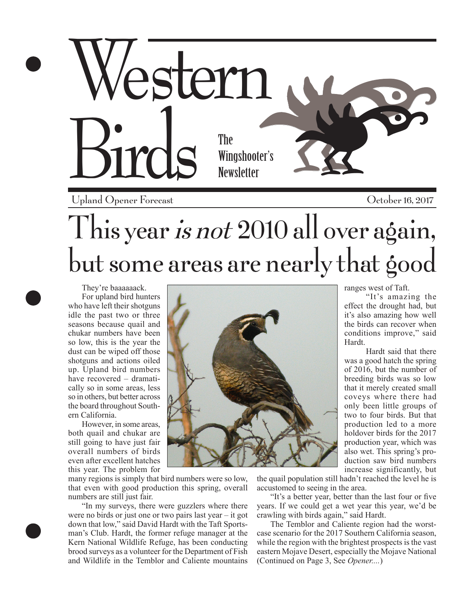

Upland Opener Forecast

October 16, 2017

## This year *is not* 2010 all over again, but some areas are nearly that good

They're baaaaaack. For upland bird hunters who have left their shotguns idle the past two or three seasons because quail and chukar numbers have been so low, this is the year the dust can be wiped off those shotguns and actions oiled up. Upland bird numbers have recovered – dramatically so in some areas, less so in others, but better across the board throughout Southern California.

However, in some areas, both quail and chukar are still going to have just fair overall numbers of birds even after excellent hatches this year. The problem for

many regions is simply that bird numbers were so low, that even with good production this spring, overall numbers are still just fair.

"In my surveys, there were guzzlers where there were no birds or just one or two pairs last year – it got down that low," said David Hardt with the Taft Sportsman's Club. Hardt, the former refuge manager at the Kern National Wildlife Refuge, has been conducting brood surveys as a volunteer for the Department of Fish and Wildlife in the Temblor and Caliente mountains

ranges west of Taft.

"It's amazing the effect the drought had, but it's also amazing how well the birds can recover when conditions improve," said Hardt.

Hardt said that there was a good hatch the spring of 2016, but the number of breeding birds was so low that it merely created small coveys where there had only been little groups of two to four birds. But that production led to a more holdover birds for the 2017 production year, which was also wet. This spring's production saw bird numbers increase significantly, but

the quail population still hadn't reached the level he is accustomed to seeing in the area.

 "It's a better year, better than the last four or five years. If we could get a wet year this year, we'd be crawling with birds again," said Hardt.

The Temblor and Caliente region had the worstcase scenario for the 2017 Southern California season, while the region with the brightest prospects is the vast eastern Mojave Desert, especially the Mojave National (Continued on Page 3, See *Opener....*)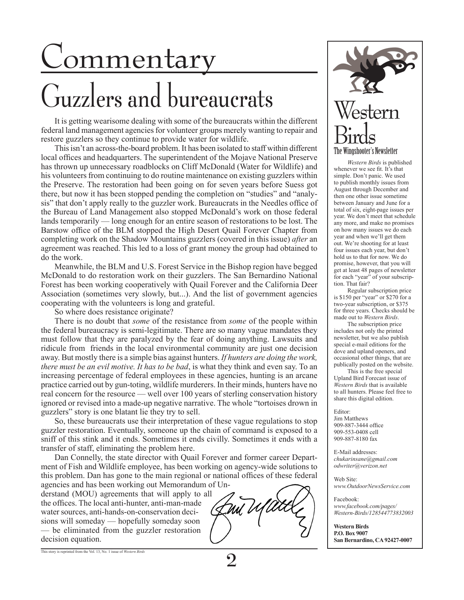# Commentary

# Guzzlers and bureaucrats

It is getting wearisome dealing with some of the bureaucrats within the different federal land management agencies for volunteer groups merely wanting to repair and restore guzzlers so they continue to provide water for wildlife.

This isn't an across-the-board problem. It has been isolated to staff within different local offices and headquarters. The superintendent of the Mojave National Preserve has thrown up unnecessary roadblocks on Cliff McDonald (Water for Wildlife) and his volunteers from continuing to do routine maintenance on existing guzzlers within the Preserve. The restoration had been going on for seven years before Suess got there, but now it has been stopped pending the completion on "studies" and "analysis" that don't apply really to the guzzler work. Bureaucrats in the Needles office of the Bureau of Land Management also stopped McDonald's work on those federal lands temporarily — long enough for an entire season of restorations to be lost. The Barstow office of the BLM stopped the High Desert Quail Forever Chapter from completing work on the Shadow Mountains guzzlers (covered in this issue) *after* an agreement was reached. This led to a loss of grant money the group had obtained to do the work.

Meanwhile, the BLM and U.S. Forest Service in the Bishop region have begged McDonald to do restoration work on their guzzlers. The San Bernardino National Forest has been working cooperatively with Quail Forever and the California Deer Association (sometimes very slowly, but...). And the list of government agencies cooperating with the volunteers is long and grateful.

So where does resistance originate?

There is no doubt that *some* of the resistance from *some* of the people within the federal bureaucracy is semi-legitimate. There are so many vague mandates they must follow that they are paralyzed by the fear of doing anything. Lawsuits and ridicule from friends in the local environmental community are just one decision away. But mostly there is a simple bias against hunters. *If hunters are doing the work, there must be an evil motive. It has to be bad*, is what they think and even say. To an increasing percentage of federal employees in these agencies, hunting is an arcane practice carried out by gun-toting, wildlife murderers. In their minds, hunters have no real concern for the resource — well over 100 years of sterling conservation history ignored or revised into a made-up negative narrative. The whole "tortoises drown in guzzlers" story is one blatant lie they try to sell.

So, these bureaucrats use their interpretation of these vague regulations to stop guzzler restoration. Eventually, someone up the chain of command is exposed to a sniff of this stink and it ends. Sometimes it ends civilly. Sometimes it ends with a transfer of staff, eliminating the problem here.

 Dan Connelly, the state director with Quail Forever and former career Department of Fish and Wildlife employee, has been working on agency-wide solutions to this problem. Dan has gone to the main regional or national offices of these federal

agencies and has been working out Memorandum of Understand (MOU) agreements that will apply to all the offices. The local anti-hunter, anti-man-made water sources, anti-hands-on-conservation decisions will someday — hopefully someday soon — be eliminated from the guzzler restoration decision equation.



*Western Birds* is published whenever we see fit. It's that simple. Don't panic. We used to publish monthly issues from August through December and then one other issue sometime between January and June for a total of six, eight-page issues per year. We don't meet that schedule any more, and make no promises on how many issues we do each year and when we'll get them out. We're shooting for at least four issues each year, but don't hold us to that for now. We do promise, however, that you will get at least 48 pages of newsletter for each "year" of your subscription. That fair?

Regular subscription price is \$150 per "year" or \$270 for a two-year subscription, or \$375 for three years. Checks should be made out to *Western Birds*.

The subscription price includes not only the printed newsletter, but we also publish special e-mail editions for the dove and upland openers, and occasional other things, that are publically posted on the website.

This is the free special Upland Bird Forecast issue of *Western Birds* that is available to all hunters. Please feel free to share this digital edition.

#### Editor:

Jim Matthews 909-887-3444 office 909-553-0408 cell 909-887-8180 fax

E-Mail addresses: *chukarinsane@gmail.com odwriter@verizon.net*

Web Site: *www.OutdoorNewsService.com*

Facebook: *www.facebook.com/pages/ Western-Birds/128544773832003*

**Western Birds P.O. Box 9007 San Bernardino, CA 92427-0007**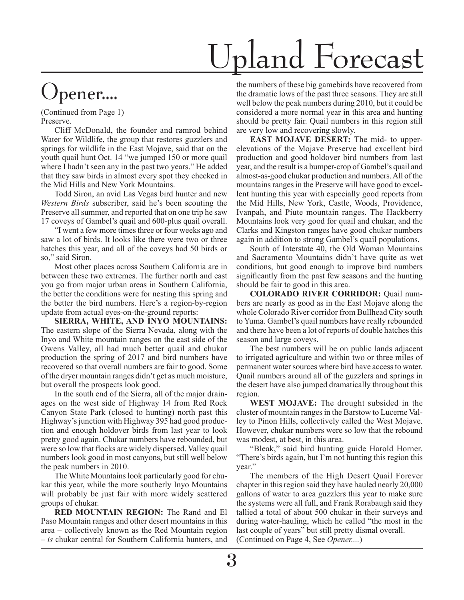# Upland Forecast

#### Jpener....

(Continued from Page 1) Preserve.

Cliff McDonald, the founder and ramrod behind Water for Wildlife, the group that restores guzzlers and springs for wildlife in the East Mojave, said that on the youth quail hunt Oct. 14 "we jumped 150 or more quail where I hadn't seen any in the past two years." He added that they saw birds in almost every spot they checked in the Mid Hills and New York Mountains.

Todd Siron, an avid Las Vegas bird hunter and new *Western Birds* subscriber, said he's been scouting the Preserve all summer, and reported that on one trip he saw 17 coveys of Gambel's quail and 600-plus quail overall.

"I went a few more times three or four weeks ago and saw a lot of birds. It looks like there were two or three hatches this year, and all of the coveys had 50 birds or so," said Siron.

Most other places across Southern California are in between these two extremes. The further north and east you go from major urban areas in Southern California, the better the conditions were for nesting this spring and the better the bird numbers. Here's a region-by-region update from actual eyes-on-the-ground reports:

**SIERRA, WHITE, AND INYO MOUNTAINS:**  The eastern slope of the Sierra Nevada, along with the Inyo and White mountain ranges on the east side of the Owens Valley, all had much better quail and chukar production the spring of 2017 and bird numbers have recovered so that overall numbers are fair to good. Some of the dryer mountain ranges didn't get as much moisture, but overall the prospects look good.

In the south end of the Sierra, all of the major drainages on the west side of Highway 14 from Red Rock Canyon State Park (closed to hunting) north past this Highway's junction with Highway 395 had good production and enough holdover birds from last year to look pretty good again. Chukar numbers have rebounded, but were so low that flocks are widely dispersed. Valley quail numbers look good in most canyons, but still well below the peak numbers in 2010.

The White Mountains look particularly good for chukar this year, while the more southerly Inyo Mountains will probably be just fair with more widely scattered groups of chukar.

**RED MOUNTAIN REGION:** The Rand and El Paso Mountain ranges and other desert mountains in this area – collectively known as the Red Mountain region – *is* chukar central for Southern California hunters, and

the numbers of these big gamebirds have recovered from the dramatic lows of the past three seasons. They are still well below the peak numbers during 2010, but it could be considered a more normal year in this area and hunting should be pretty fair. Quail numbers in this region still are very low and recovering slowly.

**EAST MOJAVE DESERT:** The mid- to upperelevations of the Mojave Preserve had excellent bird production and good holdover bird numbers from last year, and the result is a bumper-crop of Gambel's quail and almost-as-good chukar production and numbers. All of the mountains ranges in the Preserve will have good to excellent hunting this year with especially good reports from the Mid Hills, New York, Castle, Woods, Providence, Ivanpah, and Piute mountain ranges. The Hackberry Mountains look very good for quail and chukar, and the Clarks and Kingston ranges have good chukar numbers again in addition to strong Gambel's quail populations.

South of Interstate 40, the Old Woman Mountains and Sacramento Mountains didn't have quite as wet conditions, but good enough to improve bird numbers significantly from the past few seasons and the hunting should be fair to good in this area.

**COLORADO RIVER CORRIDOR:** Quail numbers are nearly as good as in the East Mojave along the whole Colorado River corridor from Bullhead City south to Yuma. Gambel's quail numbers have really rebounded and there have been a lot of reports of double hatches this season and large coveys.

The best numbers will be on public lands adjacent to irrigated agriculture and within two or three miles of permanent water sources where bird have access to water. Quail numbers around all of the guzzlers and springs in the desert have also jumped dramatically throughout this region.

**WEST MOJAVE:** The drought subsided in the cluster of mountain ranges in the Barstow to Lucerne Valley to Pinon Hills, collectively called the West Mojave. However, chukar numbers were so low that the rebound was modest, at best, in this area.

"Bleak," said bird hunting guide Harold Horner. "There's birds again, but I'm not hunting this region this year."

 The members of the High Desert Quail Forever chapter in this region said they have hauled nearly 20,000 gallons of water to area guzzlers this year to make sure the systems were all full, and Frank Rorabaugh said they tallied a total of about 500 chukar in their surveys and during water-hauling, which he called "the most in the last couple of years" but still pretty dismal overall. (Continued on Page 4, See *Opener....*)